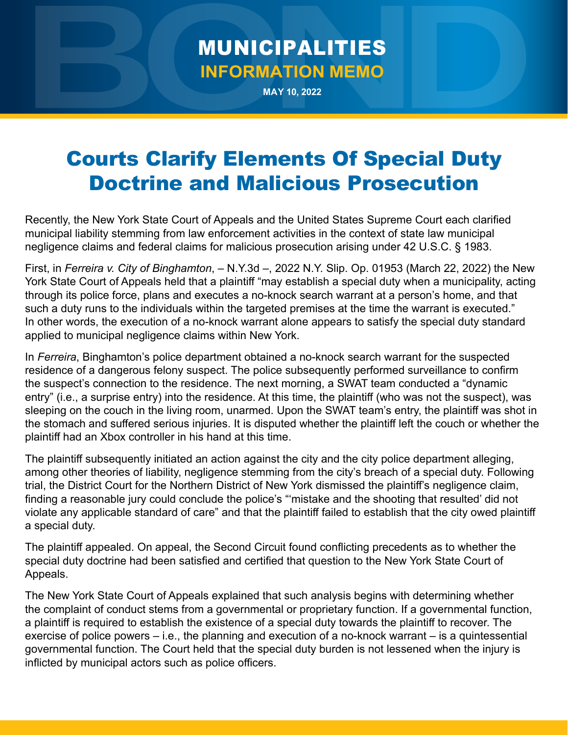## MUNICIPALITIES **INFORMATION MEMO**

**MAY 10, 2022**

## Courts Clarify Elements Of Special Duty Doctrine and Malicious Prosecution

Recently, the New York State Court of Appeals and the United States Supreme Court each clarified municipal liability stemming from law enforcement activities in the context of state law municipal negligence claims and federal claims for malicious prosecution arising under 42 U.S.C. § 1983.

First, in *Ferreira v. City of Binghamton*, – N.Y.3d –, 2022 N.Y. Slip. Op. 01953 (March 22, 2022) the New York State Court of Appeals held that a plaintiff "may establish a special duty when a municipality, acting through its police force, plans and executes a no-knock search warrant at a person's home, and that such a duty runs to the individuals within the targeted premises at the time the warrant is executed." In other words, the execution of a no-knock warrant alone appears to satisfy the special duty standard applied to municipal negligence claims within New York.

In *Ferreira*, Binghamton's police department obtained a no-knock search warrant for the suspected residence of a dangerous felony suspect. The police subsequently performed surveillance to confirm the suspect's connection to the residence. The next morning, a SWAT team conducted a "dynamic entry" (i.e., a surprise entry) into the residence. At this time, the plaintiff (who was not the suspect), was sleeping on the couch in the living room, unarmed. Upon the SWAT team's entry, the plaintiff was shot in the stomach and suffered serious injuries. It is disputed whether the plaintiff left the couch or whether the plaintiff had an Xbox controller in his hand at this time.

The plaintiff subsequently initiated an action against the city and the city police department alleging, among other theories of liability, negligence stemming from the city's breach of a special duty. Following trial, the District Court for the Northern District of New York dismissed the plaintiff's negligence claim, finding a reasonable jury could conclude the police's "'mistake and the shooting that resulted' did not violate any applicable standard of care" and that the plaintiff failed to establish that the city owed plaintiff a special duty.

The plaintiff appealed. On appeal, the Second Circuit found conflicting precedents as to whether the special duty doctrine had been satisfied and certified that question to the New York State Court of Appeals.

The New York State Court of Appeals explained that such analysis begins with determining whether the complaint of conduct stems from a governmental or proprietary function. If a governmental function, a plaintiff is required to establish the existence of a special duty towards the plaintiff to recover. The exercise of police powers – i.e., the planning and execution of a no-knock warrant – is a quintessential governmental function. The Court held that the special duty burden is not lessened when the injury is inflicted by municipal actors such as police officers.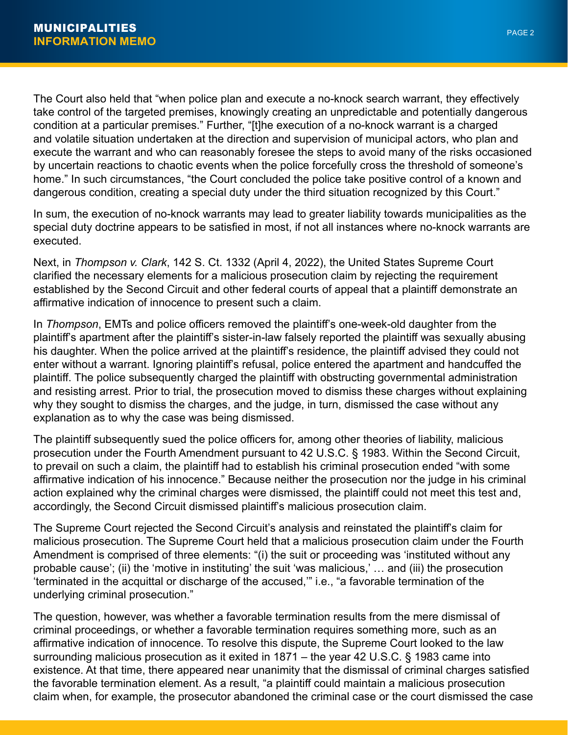The Court also held that "when police plan and execute a no-knock search warrant, they effectively take control of the targeted premises, knowingly creating an unpredictable and potentially dangerous condition at a particular premises." Further, "[t]he execution of a no-knock warrant is a charged and volatile situation undertaken at the direction and supervision of municipal actors, who plan and execute the warrant and who can reasonably foresee the steps to avoid many of the risks occasioned by uncertain reactions to chaotic events when the police forcefully cross the threshold of someone's home." In such circumstances, "the Court concluded the police take positive control of a known and dangerous condition, creating a special duty under the third situation recognized by this Court."

In sum, the execution of no-knock warrants may lead to greater liability towards municipalities as the special duty doctrine appears to be satisfied in most, if not all instances where no-knock warrants are executed.

Next, in *Thompson v. Clark*, 142 S. Ct. 1332 (April 4, 2022), the United States Supreme Court clarified the necessary elements for a malicious prosecution claim by rejecting the requirement established by the Second Circuit and other federal courts of appeal that a plaintiff demonstrate an affirmative indication of innocence to present such a claim.

In *Thompson*, EMTs and police officers removed the plaintiff's one-week-old daughter from the plaintiff's apartment after the plaintiff's sister-in-law falsely reported the plaintiff was sexually abusing his daughter. When the police arrived at the plaintiff's residence, the plaintiff advised they could not enter without a warrant. Ignoring plaintiff's refusal, police entered the apartment and handcuffed the plaintiff. The police subsequently charged the plaintiff with obstructing governmental administration and resisting arrest. Prior to trial, the prosecution moved to dismiss these charges without explaining why they sought to dismiss the charges, and the judge, in turn, dismissed the case without any explanation as to why the case was being dismissed.

The plaintiff subsequently sued the police officers for, among other theories of liability, malicious prosecution under the Fourth Amendment pursuant to 42 U.S.C. § 1983. Within the Second Circuit, to prevail on such a claim, the plaintiff had to establish his criminal prosecution ended "with some affirmative indication of his innocence." Because neither the prosecution nor the judge in his criminal action explained why the criminal charges were dismissed, the plaintiff could not meet this test and, accordingly, the Second Circuit dismissed plaintiff's malicious prosecution claim.

The Supreme Court rejected the Second Circuit's analysis and reinstated the plaintiff's claim for malicious prosecution. The Supreme Court held that a malicious prosecution claim under the Fourth Amendment is comprised of three elements: "(i) the suit or proceeding was 'instituted without any probable cause'; (ii) the 'motive in instituting' the suit 'was malicious,' … and (iii) the prosecution 'terminated in the acquittal or discharge of the accused,'" i.e., "a favorable termination of the underlying criminal prosecution."

The question, however, was whether a favorable termination results from the mere dismissal of criminal proceedings, or whether a favorable termination requires something more, such as an affirmative indication of innocence. To resolve this dispute, the Supreme Court looked to the law surrounding malicious prosecution as it exited in 1871 – the year 42 U.S.C. § 1983 came into existence. At that time, there appeared near unanimity that the dismissal of criminal charges satisfied the favorable termination element. As a result, "a plaintiff could maintain a malicious prosecution claim when, for example, the prosecutor abandoned the criminal case or the court dismissed the case